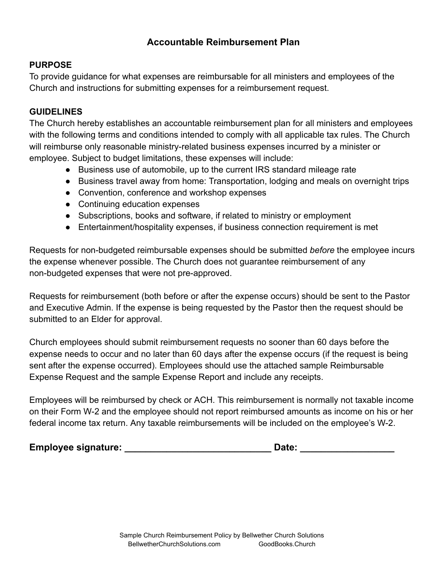## **Accountable Reimbursement Plan**

### **PURPOSE**

To provide guidance for what expenses are reimbursable for all ministers and employees of the Church and instructions for submitting expenses for a reimbursement request.

#### **GUIDELINES**

The Church hereby establishes an accountable reimbursement plan for all ministers and employees with the following terms and conditions intended to comply with all applicable tax rules. The Church will reimburse only reasonable ministry-related business expenses incurred by a minister or employee. Subject to budget limitations, these expenses will include:

- Business use of automobile, up to the current IRS standard mileage rate
- Business travel away from home: Transportation, lodging and meals on overnight trips
- Convention, conference and workshop expenses
- Continuing education expenses
- Subscriptions, books and software, if related to ministry or employment
- Entertainment/hospitality expenses, if business connection requirement is met

Requests for non-budgeted reimbursable expenses should be submitted *before* the employee incurs the expense whenever possible. The Church does not guarantee reimbursement of any non-budgeted expenses that were not pre-approved.

Requests for reimbursement (both before or after the expense occurs) should be sent to the Pastor and Executive Admin. If the expense is being requested by the Pastor then the request should be submitted to an Elder for approval.

Church employees should submit reimbursement requests no sooner than 60 days before the expense needs to occur and no later than 60 days after the expense occurs (if the request is being sent after the expense occurred). Employees should use the attached sample Reimbursable Expense Request and the sample Expense Report and include any receipts.

Employees will be reimbursed by check or ACH. This reimbursement is normally not taxable income on their Form W-2 and the employee should not report reimbursed amounts as income on his or her federal income tax return. Any taxable reimbursements will be included on the employee's W-2.

**Employee signature: \_\_\_\_\_\_\_\_\_\_\_\_\_\_\_\_\_\_\_\_\_\_\_\_\_\_\_\_ Date: \_\_\_\_\_\_\_\_\_\_\_\_\_\_\_\_\_\_**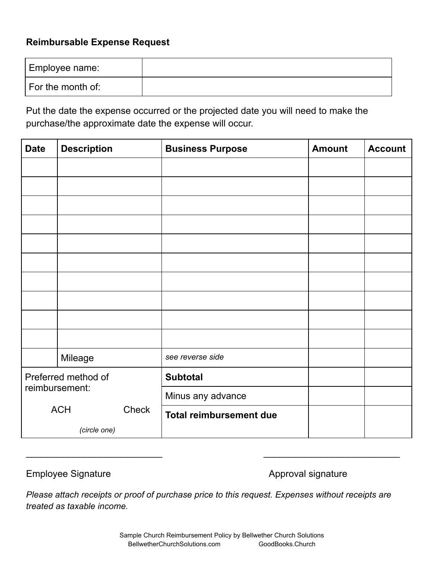## **Reimbursable Expense Request**

| Employee name:    |  |
|-------------------|--|
| For the month of: |  |

Put the date the expense occurred or the projected date you will need to make the purchase/the approximate date the expense will occur.

| <b>Date</b>         | <b>Description</b> |       | <b>Business Purpose</b>        | <b>Amount</b> | <b>Account</b> |
|---------------------|--------------------|-------|--------------------------------|---------------|----------------|
|                     |                    |       |                                |               |                |
|                     |                    |       |                                |               |                |
|                     |                    |       |                                |               |                |
|                     |                    |       |                                |               |                |
|                     |                    |       |                                |               |                |
|                     |                    |       |                                |               |                |
|                     |                    |       |                                |               |                |
|                     |                    |       |                                |               |                |
|                     |                    |       |                                |               |                |
|                     |                    |       |                                |               |                |
|                     | Mileage            |       | see reverse side               |               |                |
| Preferred method of |                    |       | <b>Subtotal</b>                |               |                |
|                     | reimbursement:     |       | Minus any advance              |               |                |
|                     | <b>ACH</b>         | Check | <b>Total reimbursement due</b> |               |                |
| (circle one)        |                    |       |                                |               |                |

Employee Signature **Approval signature** Approval signature

*Please attach receipts or proof of purchase price to this request. Expenses without receipts are treated as taxable income.*

 $\overline{\phantom{a}}$  , and the contract of the contract of the contract of the contract of the contract of the contract of the contract of the contract of the contract of the contract of the contract of the contract of the contrac